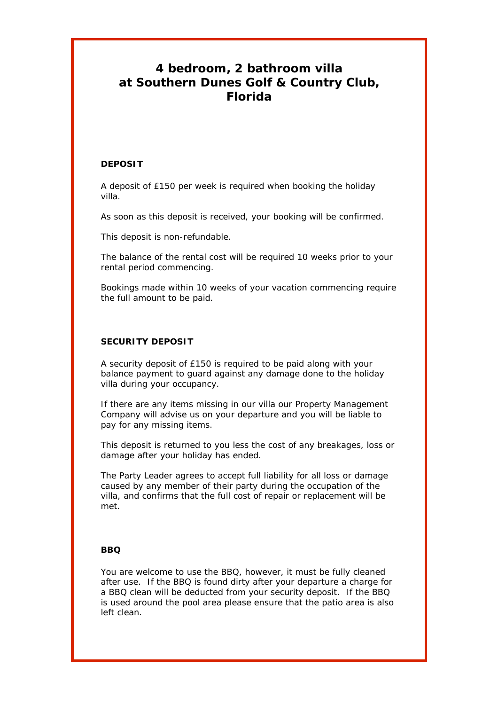# **4 bedroom, 2 bathroom villa at Southern Dunes Golf & Country Club, Florida**

## **DEPOSIT**

A deposit of £150 per week is required when booking the holiday villa.

As soon as this deposit is received, your booking will be confirmed.

This deposit is non-refundable.

The balance of the rental cost will be required 10 weeks prior to your rental period commencing.

Bookings made within 10 weeks of your vacation commencing require the full amount to be paid.

## **SECURITY DEPOSIT**

A security deposit of £150 is required to be paid along with your balance payment to guard against any damage done to the holiday villa during your occupancy.

If there are any items missing in our villa our Property Management Company will advise us on your departure and you will be liable to pay for any missing items.

This deposit is returned to you less the cost of any breakages, loss or damage after your holiday has ended.

The Party Leader agrees to accept full liability for all loss or damage caused by any member of their party during the occupation of the villa, and confirms that the full cost of repair or replacement will be met.

## **BBQ**

You are welcome to use the BBQ, however, it must be fully cleaned after use. If the BBQ is found dirty after your departure a charge for a BBQ clean will be deducted from your security deposit. If the BBQ is used around the pool area please ensure that the patio area is also left clean.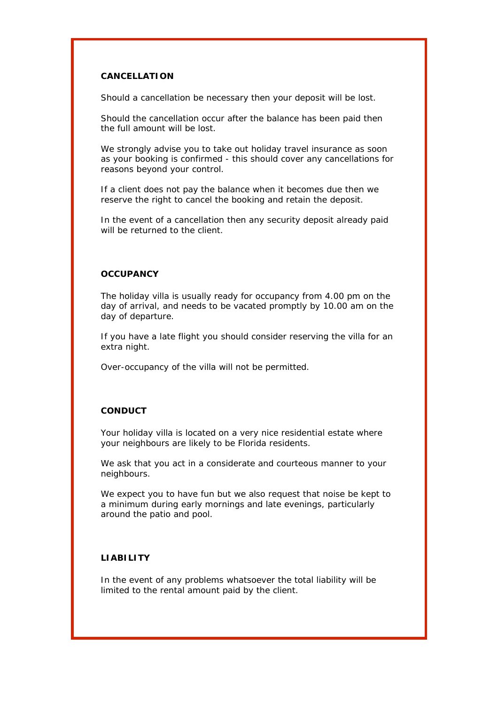## **CANCELLATION**

Should a cancellation be necessary then your deposit will be lost.

Should the cancellation occur after the balance has been paid then the full amount will be lost.

We strongly advise you to take out holiday travel insurance as soon as your booking is confirmed - this should cover any cancellations for reasons beyond your control.

If a client does not pay the balance when it becomes due then we reserve the right to cancel the booking and retain the deposit.

In the event of a cancellation then any security deposit already paid will be returned to the client.

#### **OCCUPANCY**

The holiday villa is usually ready for occupancy from 4.00 pm on the day of arrival, and needs to be vacated promptly by 10.00 am on the day of departure.

If you have a late flight you should consider reserving the villa for an extra night.

Over-occupancy of the villa will not be permitted.

#### **CONDUCT**

Your holiday villa is located on a very nice residential estate where your neighbours are likely to be Florida residents.

We ask that you act in a considerate and courteous manner to your neighbours.

We expect you to have fun but we also request that noise be kept to a minimum during early mornings and late evenings, particularly around the patio and pool.

## **LIABILITY**

In the event of any problems whatsoever the total liability will be limited to the rental amount paid by the client.